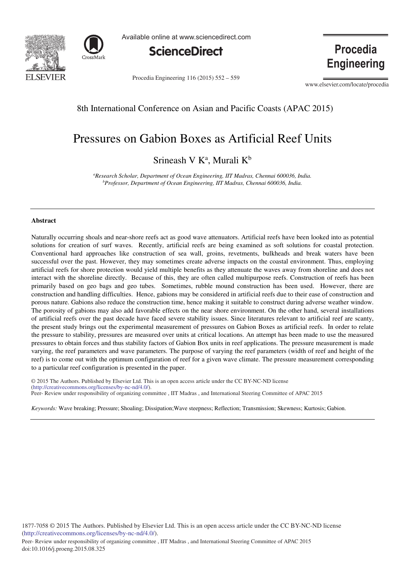



Available online at www.sciencedirect.com



Procedia Engineering 116 (2015) 552 - 559

Procedia **Engineering** 

www.elsevier.com/locate/procedia

8th International Conference on Asian and Pacific Coasts (APAC 2015)

# Pressures on Gabion Boxes as Artificial Reef Units

Srineash V  $K^a$ , Murali  $K^b$ 

*a Research Scholar, Department of Ocean Engineering, IIT Madras, Chennai 600036, India. b Professor, Department of Ocean Engineering, IIT Madras, Chennai 600036, India.*

### **Abstract**

Naturally occurring shoals and near-shore reefs act as good wave attenuators. Artificial reefs have been looked into as potential solutions for creation of surf waves. Recently, artificial reefs are being examined as soft solutions for coastal protection. Conventional hard approaches like construction of sea wall, groins, revetments, bulkheads and break waters have been successful over the past. However, they may sometimes create adverse impacts on the coastal environment. Thus, employing artificial reefs for shore protection would yield multiple benefits as they attenuate the waves away from shoreline and does not interact with the shoreline directly. Because of this, they are often called multipurpose reefs. Construction of reefs has been primarily based on geo bags and geo tubes. Sometimes, rubble mound construction has been used. However, there are construction and handling difficulties. Hence, gabions may be considered in artificial reefs due to their ease of construction and porous nature. Gabions also reduce the construction time, hence making it suitable to construct during adverse weather window. The porosity of gabions may also add favorable effects on the near shore environment. On the other hand, several installations of artificial reefs over the past decade have faced severe stability issues. Since literatures relevant to artificial reef are scanty, the present study brings out the experimental measurement of pressures on Gabion Boxes as artificial reefs. In order to relate the pressure to stability, pressures are measured over units at critical locations. An attempt has been made to use the measured pressures to obtain forces and thus stability factors of Gabion Box units in reef applications. The pressure measurement is made varying, the reef parameters and wave parameters. The purpose of varying the reef parameters (width of reef and height of the reef) is to come out with the optimum configuration of reef for a given wave climate. The pressure measurement corresponding to a particular reef configuration is presented in the paper.

© 2014 The Authors. Published by Elsevier B.V. (http://creativecommons.org/licenses/by-nc-nd/4.0/). Peer-Review under responsibility of organizing committee , IIT Madras , and International Steering Committee of APAC 2015 © 2015 The Authors. Published by Elsevier Ltd. This is an open access article under the CC BY-NC-ND license

*Keywords:* Wave breaking; Pressure; Shoaling; Dissipation;Wave steepness; Reflection; Transmission; Skewness; Kurtosis; Gabion.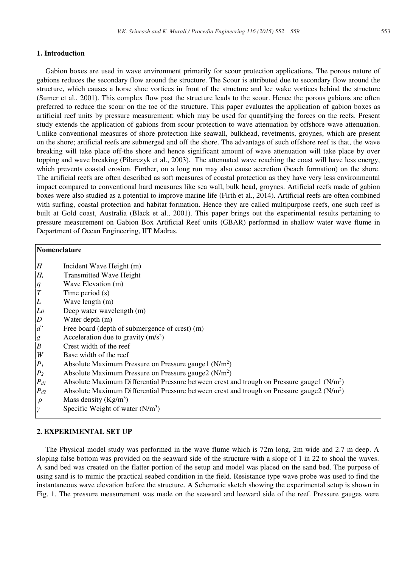## **1. Introduction**

Gabion boxes are used in wave environment primarily for scour protection applications. The porous nature of gabions reduces the secondary flow around the structure. The Scour is attributed due to secondary flow around the structure, which causes a horse shoe vortices in front of the structure and lee wake vortices behind the structure (Sumer et al., 2001). This complex flow past the structure leads to the scour. Hence the porous gabions are often preferred to reduce the scour on the toe of the structure. This paper evaluates the application of gabion boxes as artificial reef units by pressure measurement; which may be used for quantifying the forces on the reefs. Present study extends the application of gabions from scour protection to wave attenuation by offshore wave attenuation. Unlike conventional measures of shore protection like seawall, bulkhead, revetments, groynes, which are present on the shore; artificial reefs are submerged and off the shore. The advantage of such offshore reef is that, the wave breaking will take place off-the shore and hence significant amount of wave attenuation will take place by over topping and wave breaking (Pilarczyk et al., 2003). The attenuated wave reaching the coast will have less energy, which prevents coastal erosion. Further, on a long run may also cause accretion (beach formation) on the shore. The artificial reefs are often described as soft measures of coastal protection as they have very less environmental impact compared to conventional hard measures like sea wall, bulk head, groynes. Artificial reefs made of gabion boxes were also studied as a potential to improve marine life (Firth et al., 2014). Artificial reefs are often combined with surfing, coastal protection and habitat formation. Hence they are called multipurpose reefs, one such reef is built at Gold coast, Australia (Black et al., 2001). This paper brings out the experimental results pertaining to pressure measurement on Gabion Box Artificial Reef units (GBAR) performed in shallow water wave flume in Department of Ocean Engineering, IIT Madras.

# **Nomenclature**

- *H* Incident Wave Height (m)
- *Ht* Transmitted Wave Height
- *η* Wave Elevation (m)
- *T* Time period (s)
- *L* Wave length (m)
- *Lo* Deep water wavelength (m)
- *D* Water depth (m)<br> *d'* Free board (dent)
- Free board (depth of submergence of crest) (m)
- *g* Acceleration due to gravity  $(m/s^2)$
- *B* Crest width of the reef *W* Base width of the reef
- Base width of the reef
- $P_1$  Absolute Maximum Pressure on Pressure gauge1 ( $N/m^2$ )
- *P*<sub>2</sub> Absolute Maximum Pressure on Pressure gauge2 (N/m<sup>2</sup>)
- $P_{d1}$  Absolute Maximum Differential Pressure between crest and trough on Pressure gauge1 (N/m<sup>2</sup>)
- $P_{d2}$  Absolute Maximum Differential Pressure between crest and trough on Pressure gauge2 (N/m<sup>2</sup>)
- $\rho$  Mass density (Kg/m<sup>3</sup>)
- *γ* Specific Weight of water (N/m<sup>3</sup>)

## **2. EXPERIMENTAL SET UP**

The Physical model study was performed in the wave flume which is 72m long, 2m wide and 2.7 m deep. A sloping false bottom was provided on the seaward side of the structure with a slope of 1 in 22 to shoal the waves. A sand bed was created on the flatter portion of the setup and model was placed on the sand bed. The purpose of using sand is to mimic the practical seabed condition in the field. Resistance type wave probe was used to find the instantaneous wave elevation before the structure. A Schematic sketch showing the experimental setup is shown in Fig. 1. The pressure measurement was made on the seaward and leeward side of the reef. Pressure gauges were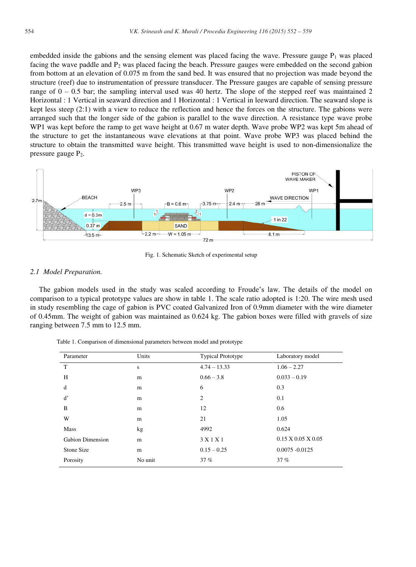embedded inside the gabions and the sensing element was placed facing the wave. Pressure gauge  $P_1$  was placed facing the wave paddle and  $P_2$  was placed facing the beach. Pressure gauges were embedded on the second gabion from bottom at an elevation of 0.075 m from the sand bed. It was ensured that no projection was made beyond the structure (reef) due to instrumentation of pressure transducer. The Pressure gauges are capable of sensing pressure range of  $0 - 0.5$  bar; the sampling interval used was 40 hertz. The slope of the stepped reef was maintained 2 Horizontal : 1 Vertical in seaward direction and 1 Horizontal : 1 Vertical in leeward direction. The seaward slope is kept less steep (2:1) with a view to reduce the reflection and hence the forces on the structure. The gabions were arranged such that the longer side of the gabion is parallel to the wave direction. A resistance type wave probe WP1 was kept before the ramp to get wave height at 0.67 m water depth. Wave probe WP2 was kept 5m ahead of the structure to get the instantaneous wave elevations at that point. Wave probe WP3 was placed behind the structure to obtain the transmitted wave height. This transmitted wave height is used to non-dimensionalize the pressure gauge P2.



Fig. 1. Schematic Sketch of experimental setup

### *2.1 Model Preparation.*

The gabion models used in the study was scaled according to Froude's law. The details of the model on comparison to a typical prototype values are show in table 1. The scale ratio adopted is 1:20. The wire mesh used in study resembling the cage of gabion is PVC coated Galvanized Iron of 0.9mm diameter with the wire diameter of 0.45mm. The weight of gabion was maintained as 0.624 kg. The gabion boxes were filled with gravels of size ranging between 7.5 mm to 12.5 mm.

| Parameter               | Units   | <b>Typical Prototype</b> | Laboratory model               |
|-------------------------|---------|--------------------------|--------------------------------|
| T                       | S       | $4.74 - 13.33$           | $1.06 - 2.27$                  |
| H                       | m       | $0.66 - 3.8$             | $0.033 - 0.19$                 |
| d                       | m       | 6                        | 0.3                            |
| ď                       | m       | 2                        | 0.1                            |
| B                       | m       | 12                       | 0.6                            |
| W                       | m       | 21                       | 1.05                           |
| <b>Mass</b>             | kg      | 4992                     | 0.624                          |
| <b>Gabion Dimension</b> | m       | 3 X 1 X 1                | $0.15 \times 0.05 \times 0.05$ |
| Stone Size              | m       | $0.15 - 0.25$            | $0.0075 - 0.0125$              |
| Porosity                | No unit | 37%                      | 37%                            |

Table 1. Comparison of dimensional parameters between model and prototype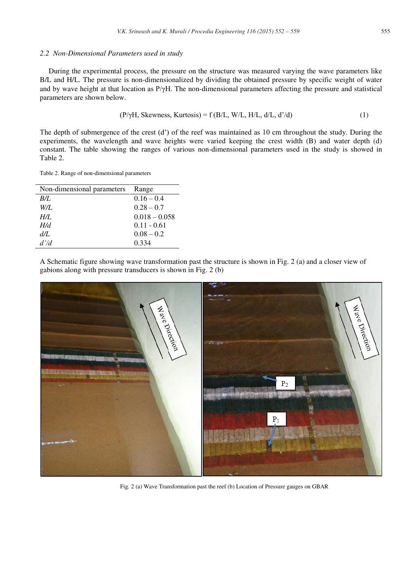### *2.2 Non-Dimensional Parameters used in study*

During the experimental process, the pressure on the structure was measured varying the wave parameters like B/L and H/L. The pressure is non-dimensionalized by dividing the obtained pressure by specific weight of water and by wave height at that location as P/γH. The non-dimensional parameters affecting the pressure and statistical parameters are shown below.

$$
(P/\gamma H, Skewness, Kurtosis) = f(B/L, W/L, H/L, d/L, d'd)
$$
\n(1)

The depth of submergence of the crest (d') of the reef was maintained as 10 cm throughout the study. During the experiments, the wavelength and wave heights were varied keeping the crest width (B) and water depth (d) constant. The table showing the ranges of various non-dimensional parameters used in the study is showed in Table 2.

Table 2. Range of non-dimensional parameters

| Non-dimensional parameters | Range           |
|----------------------------|-----------------|
| B/L                        | $0.16 - 0.4$    |
| W/L                        | $0.28 - 0.7$    |
| H/L                        | $0.018 - 0.058$ |
| H/d                        | $0.11 - 0.61$   |
| d/L                        | $0.08 - 0.2$    |
| d'd                        | 0.334           |

A Schematic figure showing wave transformation past the structure is shown in Fig. 2 (a) and a closer view of gabions along with pressure transducers is shown in Fig. 2 (b)



Fig. 2 (a) Wave Transformation past the reef (b) Location of Pressure gauges on GBAR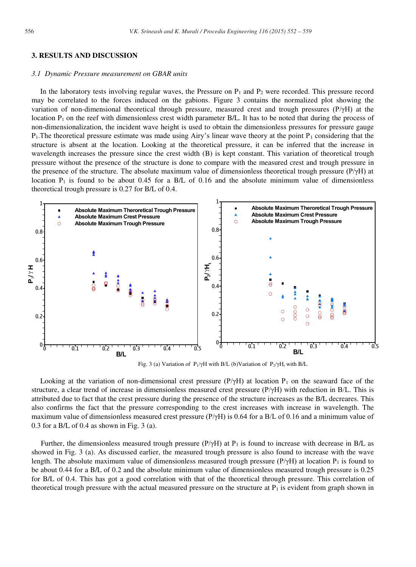## **3. RESULTS AND DISCUSSION**

#### *3.1 Dynamic Pressure measurement on GBAR units*

In the laboratory tests involving regular waves, the Pressure on  $P_1$  and  $P_2$  were recorded. This pressure record may be correlated to the forces induced on the gabions. Figure 3 contains the normalized plot showing the variation of non-dimensional theoretical through pressure, measured crest and trough pressures  $(P/\gamma H)$  at the location  $P_1$  on the reef with dimensionless crest width parameter  $B/L$ . It has to be noted that during the process of non-dimensionalization, the incident wave height is used to obtain the dimensionless pressures for pressure gauge  $P_1$ . The theoretical pressure estimate was made using Airy's linear wave theory at the point  $P_1$  considering that the structure is absent at the location. Looking at the theoretical pressure, it can be inferred that the increase in wavelength increases the pressure since the crest width (B) is kept constant. This variation of theoretical trough pressure without the presence of the structure is done to compare with the measured crest and trough pressure in the presence of the structure. The absolute maximum value of dimensionless theoretical trough pressure (P/γH) at location  $P_1$  is found to be about 0.45 for a B/L of 0.16 and the absolute minimum value of dimensionless theoretical trough pressure is 0.27 for B/L of 0.4.



Fig. 3 (a) Variation of P<sub>1</sub>/γH with B/L (b)Variation of P<sub>2</sub>/γH<sub>t</sub> with B/L

Looking at the variation of non-dimensional crest pressure ( $P/\gamma H$ ) at location  $P_1$  on the seaward face of the structure, a clear trend of increase in dimensionless measured crest pressure (P/γH) with reduction in B/L. This is attributed due to fact that the crest pressure during the presence of the structure increases as the B/L decreares. This also confirms the fact that the pressure corresponding to the crest increases with increase in wavelength. The maximum value of dimensionless measured crest pressure  $(P/\gamma H)$  is 0.64 for a B/L of 0.16 and a minimum value of 0.3 for a B/L of 0.4 as shown in Fig. 3 (a).

Further, the dimensionless measured trough pressure  $(P/\gamma H)$  at P<sub>1</sub> is found to increase with decrease in B/L as showed in Fig. 3 (a). As discussed earlier, the measured trough pressure is also found to increase with the wave length. The absolute maximum value of dimensionless measured trough pressure  $(P/\gamma H)$  at location  $P_1$  is found to be about 0.44 for a B/L of 0.2 and the absolute minimum value of dimensionless measured trough pressure is 0.25 for B/L of 0.4. This has got a good correlation with that of the theoretical through pressure. This correlation of theoretical trough pressure with the actual measured pressure on the structure at  $P_1$  is evident from graph shown in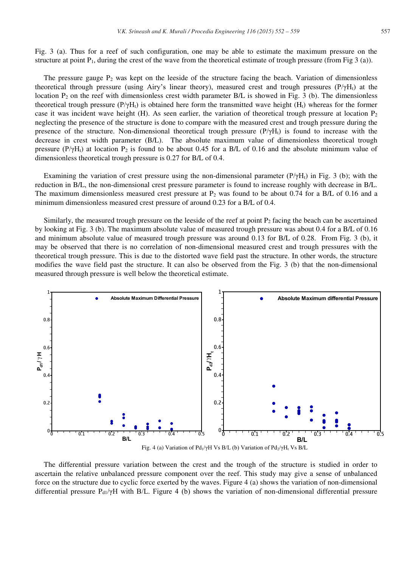Fig. 3 (a). Thus for a reef of such configuration, one may be able to estimate the maximum pressure on the structure at point  $P_1$ , during the crest of the wave from the theoretical estimate of trough pressure (from Fig 3 (a)).

The pressure gauge  $P_2$  was kept on the leeside of the structure facing the beach. Variation of dimensionless theoretical through pressure (using Airy's linear theory), measured crest and trough pressures ( $P/\gamma H_1$ ) at the location  $P_2$  on the reef with dimensionless crest width parameter  $B/L$  is showed in Fig. 3 (b). The dimensionless theoretical trough pressure (P/ $\gamma$ H<sub>t</sub>) is obtained here form the transmitted wave height (H<sub>t</sub>) whereas for the former case it was incident wave height (H). As seen earlier, the variation of theoretical trough pressure at location  $P_2$ neglecting the presence of the structure is done to compare with the measured crest and trough pressure during the presence of the structure. Non-dimensional theoretical trough pressure  $(P/\gamma H_t)$  is found to increase with the decrease in crest width parameter (B/L). The absolute maximum value of dimensionless theoretical trough pressure  $(P/\gamma H_t)$  at location P<sub>2</sub> is found to be about 0.45 for a B/L of 0.16 and the absolute minimum value of dimensionless theoretical trough pressure is 0.27 for B/L of 0.4.

Examining the variation of crest pressure using the non-dimensional parameter  $(P/\gamma H_t)$  in Fig. 3 (b); with the reduction in B/L, the non-dimensional crest pressure parameter is found to increase roughly with decrease in B/L. The maximum dimensionless measured crest pressure at  $P_2$  was found to be about 0.74 for a B/L of 0.16 and a minimum dimensionless measured crest pressure of around 0.23 for a B/L of 0.4.

Similarly, the measured trough pressure on the leeside of the reef at point  $P_2$  facing the beach can be ascertained by looking at Fig. 3 (b). The maximum absolute value of measured trough pressure was about 0.4 for a B/L of 0.16 and minimum absolute value of measured trough pressure was around 0.13 for B/L of 0.28. From Fig. 3 (b), it may be observed that there is no correlation of non-dimensional measured crest and trough pressures with the theoretical trough pressure. This is due to the distorted wave field past the structure. In other words, the structure modifies the wave field past the structure. It can also be observed from the Fig. 3 (b) that the non-dimensional measured through pressure is well below the theoretical estimate.



The differential pressure variation between the crest and the trough of the structure is studied in order to ascertain the relative unbalanced pressure component over the reef. This study may give a sense of unbalanced force on the structure due to cyclic force exerted by the waves. Figure 4 (a) shows the variation of non-dimensional differential pressure  $P_{d1}/\gamma H$  with B/L. Figure 4 (b) shows the variation of non-dimensional differential pressure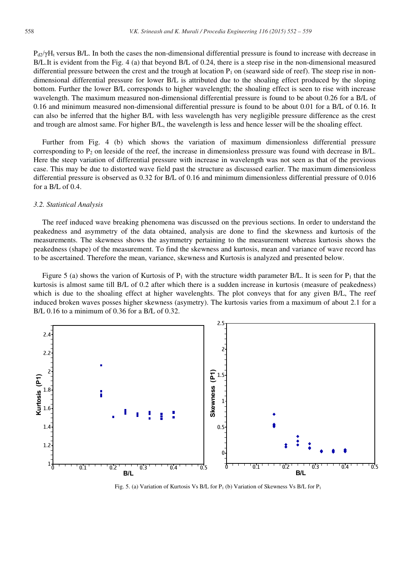$P_{d2}/\gamma H_1$  versus B/L. In both the cases the non-dimensional differential pressure is found to increase with decrease in B/L.It is evident from the Fig. 4 (a) that beyond B/L of 0.24, there is a steep rise in the non-dimensional measured differential pressure between the crest and the trough at location  $P_1$  on (seaward side of reef). The steep rise in nondimensional differential pressure for lower B/L is attributed due to the shoaling effect produced by the sloping bottom. Further the lower B/L corresponds to higher wavelength; the shoaling effect is seen to rise with increase wavelength. The maximum measured non-dimensional differential pressure is found to be about 0.26 for a B/L of 0.16 and minimum measured non-dimensional differential pressure is found to be about 0.01 for a B/L of 0.16. It can also be inferred that the higher B/L with less wavelength has very negligible pressure difference as the crest and trough are almost same. For higher B/L, the wavelength is less and hence lesser will be the shoaling effect.

Further from Fig. 4 (b) which shows the variation of maximum dimensionless differential pressure corresponding to  $P_2$  on leeside of the reef, the increase in dimensionless pressure was found with decrease in B/L. Here the steep variation of differential pressure with increase in wavelength was not seen as that of the previous case. This may be due to distorted wave field past the structure as discussed earlier. The maximum dimensionless differential pressure is observed as 0.32 for B/L of 0.16 and minimum dimensionless differential pressure of 0.016 for a B/L of 0.4.

## *3.2. Statistical Analysis*

The reef induced wave breaking phenomena was discussed on the previous sections. In order to understand the peakedness and asymmetry of the data obtained, analysis are done to find the skewness and kurtosis of the measurements. The skewness shows the asymmetry pertaining to the measurement whereas kurtosis shows the peakedness (shape) of the measurement. To find the skewness and kurtosis, mean and variance of wave record has to be ascertained. Therefore the mean, variance, skewness and Kurtosis is analyzed and presented below.

Figure 5 (a) shows the varion of Kurtosis of  $P_1$  with the structure width parameter B/L. It is seen for  $P_1$  that the kurtosis is almost same till B/L of 0.2 after which there is a sudden increase in kurtosis (measure of peakedness) which is due to the shoaling effect at higher wavelenghts. The plot conveys that for any given B/L, The reef induced broken waves posses higher skewness (asymetry). The kurtosis varies from a maximum of about 2.1 for a B/L 0.16 to a minimum of 0.36 for a B/L of 0.32.



Fig. 5. (a) Variation of Kurtosis Vs B/L for  $P_1$  (b) Variation of Skewness Vs B/L for  $P_1$